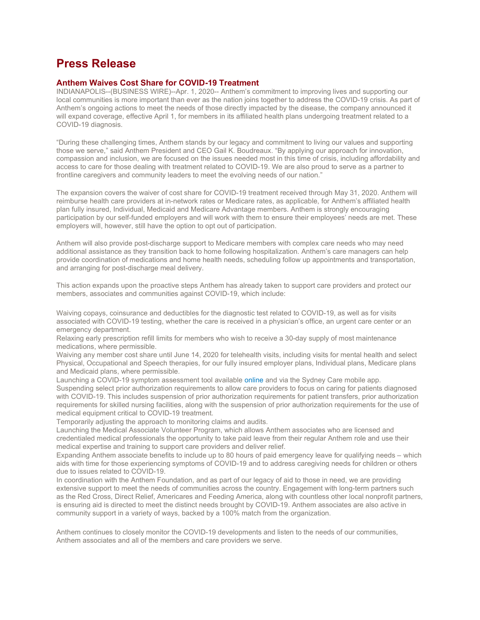## Press Release

## Anthem Waives Cost Share for COVID-19 Treatment

INDIANAPOLIS--(BUSINESS WIRE)--Apr. 1, 2020-- Anthem's commitment to improving lives and supporting our local communities is more important than ever as the nation joins together to address the COVID-19 crisis. As part of Anthem's ongoing actions to meet the needs of those directly impacted by the disease, the company announced it will expand coverage, effective April 1, for members in its affiliated health plans undergoing treatment related to a COVID-19 diagnosis.

"During these challenging times, Anthem stands by our legacy and commitment to living our values and supporting those we serve," said Anthem President and CEO Gail K. Boudreaux. "By applying our approach for innovation, compassion and inclusion, we are focused on the issues needed most in this time of crisis, including affordability and access to care for those dealing with treatment related to COVID-19. We are also proud to serve as a partner to frontline caregivers and community leaders to meet the evolving needs of our nation."

The expansion covers the waiver of cost share for COVID-19 treatment received through May 31, 2020. Anthem will reimburse health care providers at in-network rates or Medicare rates, as applicable, for Anthem's affiliated health plan fully insured, Individual, Medicaid and Medicare Advantage members. Anthem is strongly encouraging participation by our self-funded employers and will work with them to ensure their employees' needs are met. These employers will, however, still have the option to opt out of participation.

Anthem will also provide post-discharge support to Medicare members with complex care needs who may need additional assistance as they transition back to home following hospitalization. Anthem's care managers can help provide coordination of medications and home health needs, scheduling follow up appointments and transportation, and arranging for post-discharge meal delivery.

This action expands upon the proactive steps Anthem has already taken to support care providers and protect our members, associates and communities against COVID-19, which include:

Waiving copays, coinsurance and deductibles for the diagnostic test related to COVID-19, as well as for visits associated with COVID-19 testing, whether the care is received in a physician's office, an urgent care center or an emergency department.

Relaxing early prescription refill limits for members who wish to receive a 30-day supply of most maintenance medications, where permissible.

Waiving any member cost share until June 14, 2020 for telehealth visits, including visits for mental health and select Physical, Occupational and Speech therapies, for our fully insured employer plans, Individual plans, Medicare plans and Medicaid plans, where permissible.

Launching a COVID-19 symptom assessment tool available online and via the Sydney Care mobile app. Suspending select prior authorization requirements to allow care providers to focus on caring for patients diagnosed with COVID-19. This includes suspension of prior authorization requirements for patient transfers, prior authorization requirements for skilled nursing facilities, along with the suspension of prior authorization requirements for the use of medical equipment critical to COVID-19 treatment.

Temporarily adjusting the approach to monitoring claims and audits.

Launching the Medical Associate Volunteer Program, which allows Anthem associates who are licensed and credentialed medical professionals the opportunity to take paid leave from their regular Anthem role and use their medical expertise and training to support care providers and deliver relief.

Expanding Anthem associate benefits to include up to 80 hours of paid emergency leave for qualifying needs – which aids with time for those experiencing symptoms of COVID-19 and to address caregiving needs for children or others due to issues related to COVID-19.

In coordination with the Anthem Foundation, and as part of our legacy of aid to those in need, we are providing extensive support to meet the needs of communities across the country. Engagement with long-term partners such as the Red Cross, Direct Relief, Americares and Feeding America, along with countless other local nonprofit partners, is ensuring aid is directed to meet the distinct needs brought by COVID-19. Anthem associates are also active in community support in a variety of ways, backed by a 100% match from the organization.

Anthem continues to closely monitor the COVID-19 developments and listen to the needs of our communities, Anthem associates and all of the members and care providers we serve.